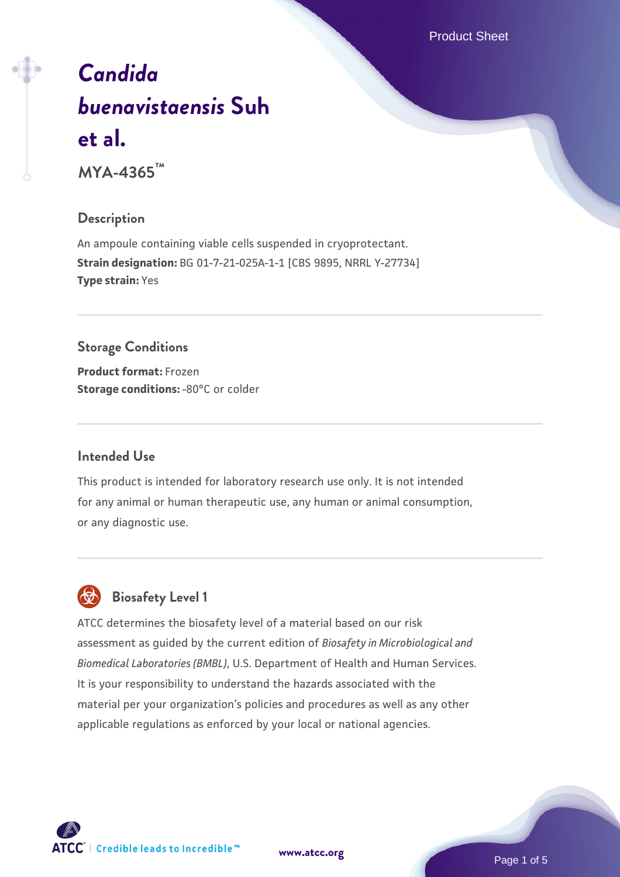Product Sheet

# *[Candida](https://www.atcc.org/products/mya-4365) [buenavistaensis](https://www.atcc.org/products/mya-4365)* **[Suh](https://www.atcc.org/products/mya-4365) [et al.](https://www.atcc.org/products/mya-4365)**

**MYA-4365™**

#### **Description**

An ampoule containing viable cells suspended in cryoprotectant. **Strain designation:** BG 01-7-21-025A-1-1 [CBS 9895, NRRL Y-27734] **Type strain:** Yes

# **Storage Conditions Product format:** Frozen

**Storage conditions: -80°C or colder** 

#### **Intended Use**

This product is intended for laboratory research use only. It is not intended for any animal or human therapeutic use, any human or animal consumption, or any diagnostic use.

# **Biosafety Level 1**

ATCC determines the biosafety level of a material based on our risk assessment as guided by the current edition of *Biosafety in Microbiological and Biomedical Laboratories (BMBL)*, U.S. Department of Health and Human Services. It is your responsibility to understand the hazards associated with the material per your organization's policies and procedures as well as any other applicable regulations as enforced by your local or national agencies.



**[www.atcc.org](http://www.atcc.org)**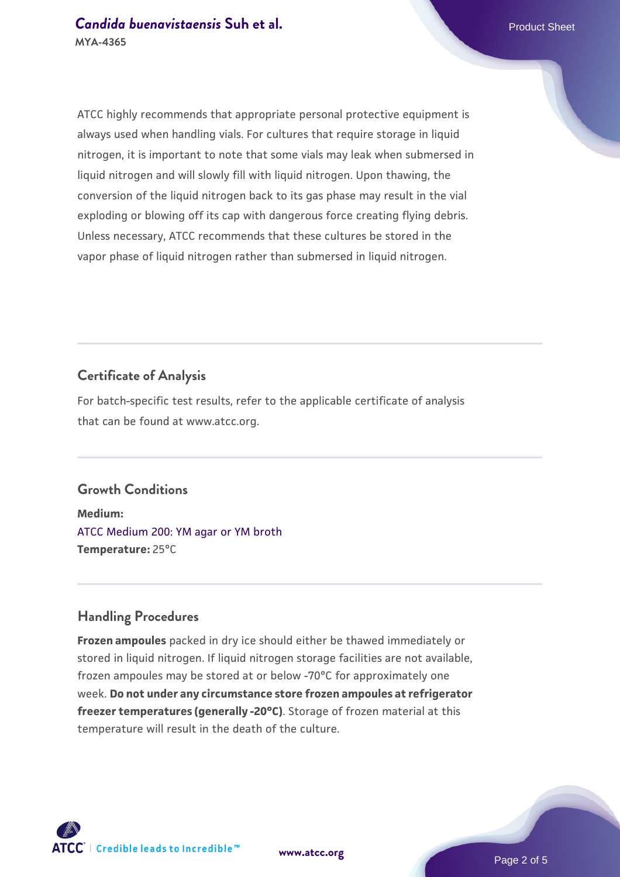ATCC highly recommends that appropriate personal protective equipment is always used when handling vials. For cultures that require storage in liquid nitrogen, it is important to note that some vials may leak when submersed in liquid nitrogen and will slowly fill with liquid nitrogen. Upon thawing, the conversion of the liquid nitrogen back to its gas phase may result in the vial exploding or blowing off its cap with dangerous force creating flying debris. Unless necessary, ATCC recommends that these cultures be stored in the vapor phase of liquid nitrogen rather than submersed in liquid nitrogen.

#### **Certificate of Analysis**

For batch-specific test results, refer to the applicable certificate of analysis that can be found at www.atcc.org.

#### **Growth Conditions**

**Medium:**  [ATCC Medium 200: YM agar or YM broth](https://www.atcc.org/-/media/product-assets/documents/microbial-media-formulations/2/0/0/atcc-medium-200.pdf?rev=ac40fd74dc13433a809367b0b9da30fc) **Temperature:** 25°C

#### **Handling Procedures**

**Frozen ampoules** packed in dry ice should either be thawed immediately or stored in liquid nitrogen. If liquid nitrogen storage facilities are not available, frozen ampoules may be stored at or below -70°C for approximately one week. **Do not under any circumstance store frozen ampoules at refrigerator freezer temperatures (generally -20°C)**. Storage of frozen material at this temperature will result in the death of the culture.



**[www.atcc.org](http://www.atcc.org)**

Page 2 of 5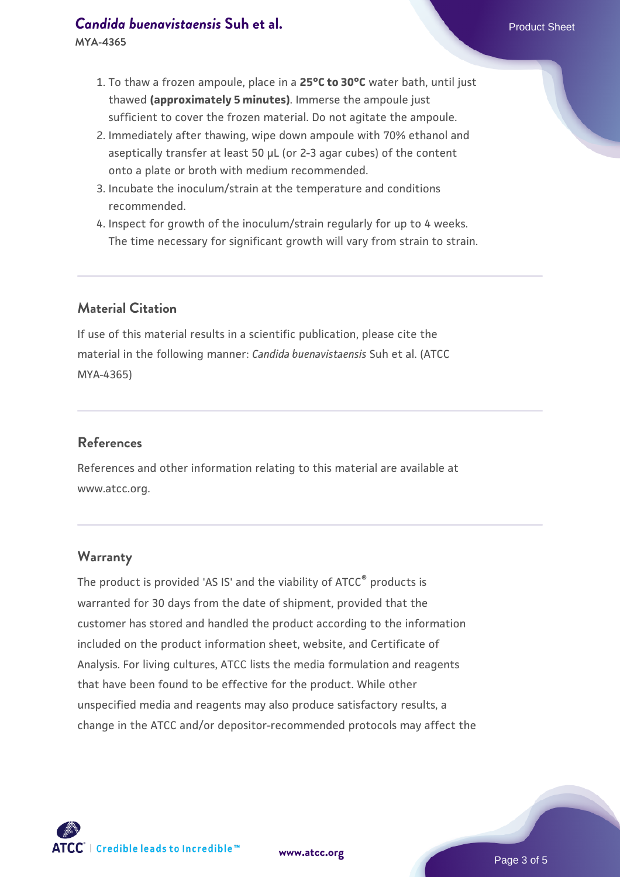#### **[Candida buenavistaensis](https://www.atcc.org/products/mya-4365) [Suh et al.](https://www.atcc.org/products/mya-4365)** Product Sheet **MYA-4365**

- 2. Immediately after thawing, wipe down ampoule with 70% ethanol and aseptically transfer at least 50 µL (or 2-3 agar cubes) of the content onto a plate or broth with medium recommended.
- 3. Incubate the inoculum/strain at the temperature and conditions recommended.
- 4. Inspect for growth of the inoculum/strain regularly for up to 4 weeks. The time necessary for significant growth will vary from strain to strain.

# **Material Citation**

If use of this material results in a scientific publication, please cite the material in the following manner: *Candida buenavistaensis* Suh et al. (ATCC MYA-4365)

# **References**

References and other information relating to this material are available at www.atcc.org.

#### **Warranty**

The product is provided 'AS IS' and the viability of ATCC<sup>®</sup> products is warranted for 30 days from the date of shipment, provided that the customer has stored and handled the product according to the information included on the product information sheet, website, and Certificate of Analysis. For living cultures, ATCC lists the media formulation and reagents that have been found to be effective for the product. While other unspecified media and reagents may also produce satisfactory results, a change in the ATCC and/or depositor-recommended protocols may affect the



**[www.atcc.org](http://www.atcc.org)**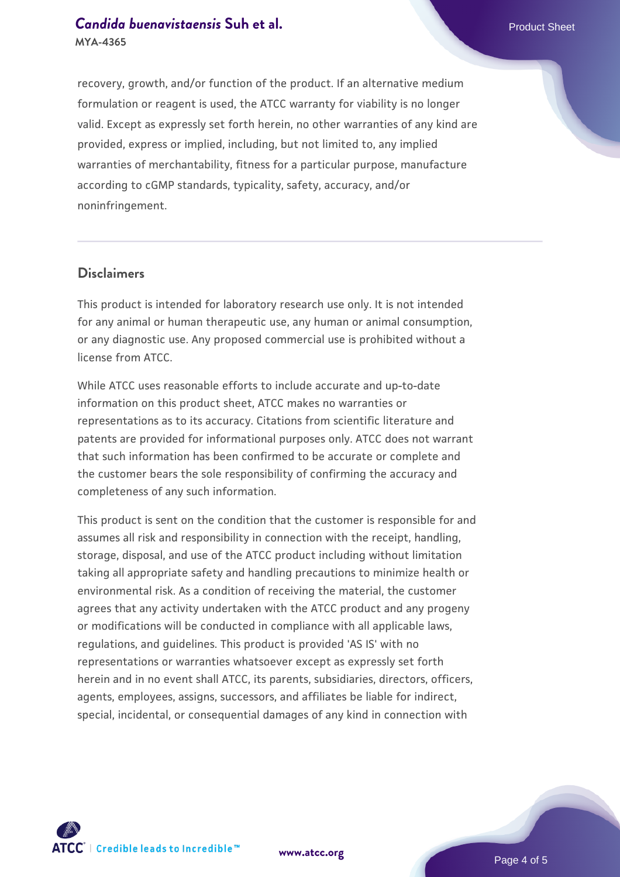# **[Candida buenavistaensis](https://www.atcc.org/products/mya-4365) [Suh et al.](https://www.atcc.org/products/mya-4365)** Product Sheet **MYA-4365**

recovery, growth, and/or function of the product. If an alternative medium formulation or reagent is used, the ATCC warranty for viability is no longer valid. Except as expressly set forth herein, no other warranties of any kind are provided, express or implied, including, but not limited to, any implied warranties of merchantability, fitness for a particular purpose, manufacture according to cGMP standards, typicality, safety, accuracy, and/or noninfringement.

#### **Disclaimers**

This product is intended for laboratory research use only. It is not intended for any animal or human therapeutic use, any human or animal consumption, or any diagnostic use. Any proposed commercial use is prohibited without a license from ATCC.

While ATCC uses reasonable efforts to include accurate and up-to-date information on this product sheet, ATCC makes no warranties or representations as to its accuracy. Citations from scientific literature and patents are provided for informational purposes only. ATCC does not warrant that such information has been confirmed to be accurate or complete and the customer bears the sole responsibility of confirming the accuracy and completeness of any such information.

This product is sent on the condition that the customer is responsible for and assumes all risk and responsibility in connection with the receipt, handling, storage, disposal, and use of the ATCC product including without limitation taking all appropriate safety and handling precautions to minimize health or environmental risk. As a condition of receiving the material, the customer agrees that any activity undertaken with the ATCC product and any progeny or modifications will be conducted in compliance with all applicable laws, regulations, and guidelines. This product is provided 'AS IS' with no representations or warranties whatsoever except as expressly set forth herein and in no event shall ATCC, its parents, subsidiaries, directors, officers, agents, employees, assigns, successors, and affiliates be liable for indirect, special, incidental, or consequential damages of any kind in connection with



**[www.atcc.org](http://www.atcc.org)**

Page 4 of 5